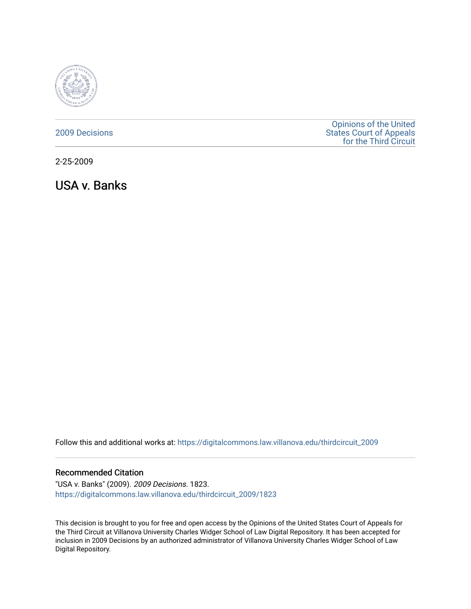

## [2009 Decisions](https://digitalcommons.law.villanova.edu/thirdcircuit_2009)

[Opinions of the United](https://digitalcommons.law.villanova.edu/thirdcircuit)  [States Court of Appeals](https://digitalcommons.law.villanova.edu/thirdcircuit)  [for the Third Circuit](https://digitalcommons.law.villanova.edu/thirdcircuit) 

2-25-2009

USA v. Banks

Follow this and additional works at: [https://digitalcommons.law.villanova.edu/thirdcircuit\\_2009](https://digitalcommons.law.villanova.edu/thirdcircuit_2009?utm_source=digitalcommons.law.villanova.edu%2Fthirdcircuit_2009%2F1823&utm_medium=PDF&utm_campaign=PDFCoverPages) 

## Recommended Citation

"USA v. Banks" (2009). 2009 Decisions. 1823. [https://digitalcommons.law.villanova.edu/thirdcircuit\\_2009/1823](https://digitalcommons.law.villanova.edu/thirdcircuit_2009/1823?utm_source=digitalcommons.law.villanova.edu%2Fthirdcircuit_2009%2F1823&utm_medium=PDF&utm_campaign=PDFCoverPages) 

This decision is brought to you for free and open access by the Opinions of the United States Court of Appeals for the Third Circuit at Villanova University Charles Widger School of Law Digital Repository. It has been accepted for inclusion in 2009 Decisions by an authorized administrator of Villanova University Charles Widger School of Law Digital Repository.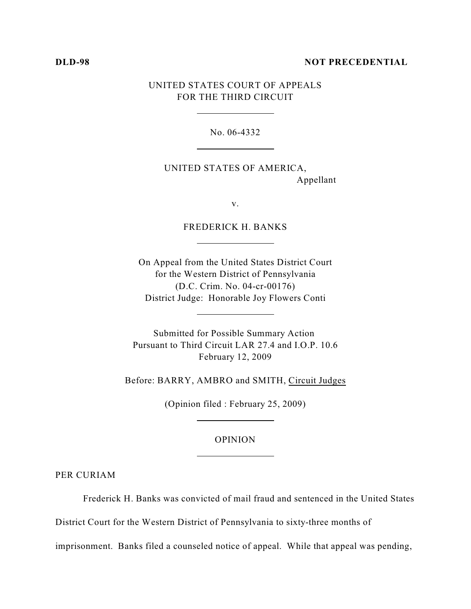#### **DLD-98 NOT PRECEDENTIAL**

# UNITED STATES COURT OF APPEALS FOR THE THIRD CIRCUIT

l

l

 $\overline{a}$ 

 $\overline{a}$ 

l

l

No. 06-4332

UNITED STATES OF AMERICA, Appellant

v.

FREDERICK H. BANKS

On Appeal from the United States District Court for the Western District of Pennsylvania (D.C. Crim. No. 04-cr-00176) District Judge: Honorable Joy Flowers Conti

Submitted for Possible Summary Action Pursuant to Third Circuit LAR 27.4 and I.O.P. 10.6 February 12, 2009

Before: BARRY, AMBRO and SMITH, Circuit Judges

(Opinion filed : February 25, 2009)

### OPINION

PER CURIAM

Frederick H. Banks was convicted of mail fraud and sentenced in the United States

District Court for the Western District of Pennsylvania to sixty-three months of

imprisonment. Banks filed a counseled notice of appeal. While that appeal was pending,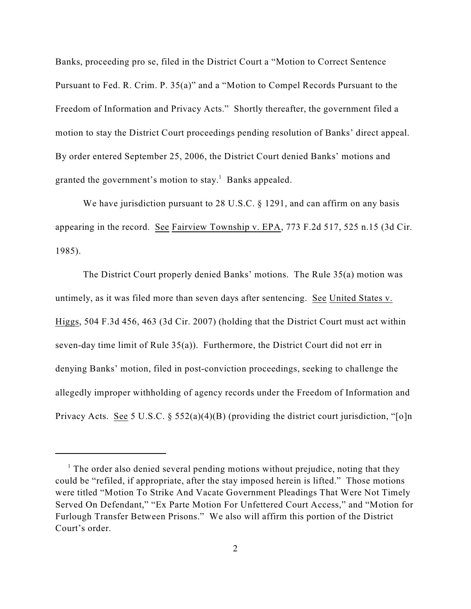Banks, proceeding pro se, filed in the District Court a "Motion to Correct Sentence Pursuant to Fed. R. Crim. P. 35(a)" and a "Motion to Compel Records Pursuant to the Freedom of Information and Privacy Acts." Shortly thereafter, the government filed a motion to stay the District Court proceedings pending resolution of Banks' direct appeal. By order entered September 25, 2006, the District Court denied Banks' motions and granted the government's motion to stay.<sup>1</sup> Banks appealed.

We have jurisdiction pursuant to 28 U.S.C. § 1291, and can affirm on any basis appearing in the record. See Fairview Township v. EPA, 773 F.2d 517, 525 n.15 (3d Cir. 1985).

The District Court properly denied Banks' motions. The Rule 35(a) motion was untimely, as it was filed more than seven days after sentencing. See United States v. Higgs, 504 F.3d 456, 463 (3d Cir. 2007) (holding that the District Court must act within seven-day time limit of Rule  $35(a)$ ). Furthermore, the District Court did not err in denying Banks' motion, filed in post-conviction proceedings, seeking to challenge the allegedly improper withholding of agency records under the Freedom of Information and Privacy Acts. See 5 U.S.C. § 552(a)(4)(B) (providing the district court jurisdiction, "[o]n

 $<sup>1</sup>$  The order also denied several pending motions without prejudice, noting that they</sup> could be "refiled, if appropriate, after the stay imposed herein is lifted." Those motions were titled "Motion To Strike And Vacate Government Pleadings That Were Not Timely Served On Defendant," "Ex Parte Motion For Unfettered Court Access," and "Motion for Furlough Transfer Between Prisons." We also will affirm this portion of the District Court's order.